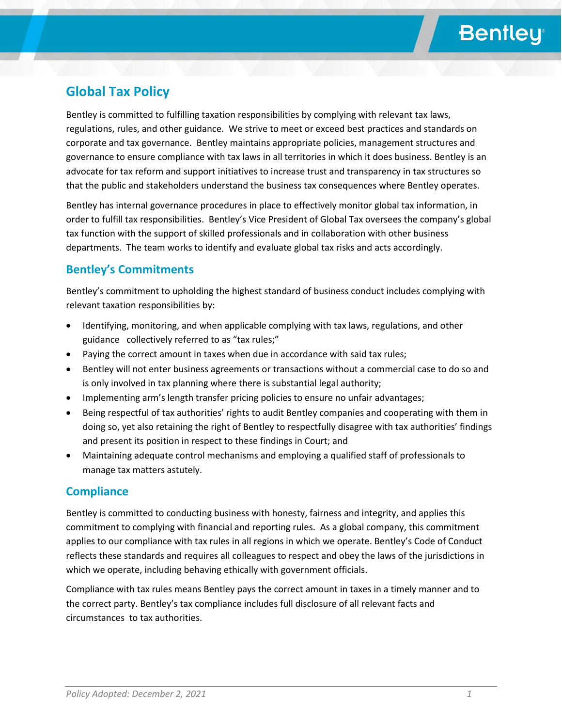# **Bentley**

## **Global Tax Policy**

Bentley is committed to fulfilling taxation responsibilities by complying with relevant tax laws, regulations, rules, and other guidance. We strive to meet or exceed best practices and standards on corporate and tax governance. Bentley maintains appropriate policies, management structures and governance to ensure compliance with tax laws in all territories in which it does business. Bentley is an advocate for tax reform and support initiatives to increase trust and transparency in tax structures so that the public and stakeholders understand the business tax consequences where Bentley operates.

Bentley has internal governance procedures in place to effectively monitor global tax information, in order to fulfill tax responsibilities. Bentley's Vice President of Global Tax oversees the company's global tax function with the support of skilled professionals and in collaboration with other business departments. The team works to identify and evaluate global tax risks and acts accordingly.

### **Bentley's Commitments**

Bentley's commitment to upholding the highest standard of business conduct includes complying with relevant taxation responsibilities by:

- Identifying, monitoring, and when applicable complying with tax laws, regulations, and other guidance collectively referred to as "tax rules;"
- Paying the correct amount in taxes when due in accordance with said tax rules;
- Bentley will not enter business agreements or transactions without a commercial case to do so and is only involved in tax planning where there is substantial legal authority;
- Implementing arm's length transfer pricing policies to ensure no unfair advantages;
- Being respectful of tax authorities' rights to audit Bentley companies and cooperating with them in doing so, yet also retaining the right of Bentley to respectfully disagree with tax authorities' findings and present its position in respect to these findings in Court; and
- Maintaining adequate control mechanisms and employing a qualified staff of professionals to manage tax matters astutely.

### **Compliance**

Bentley is committed to conducting business with honesty, fairness and integrity, and applies this commitment to complying with financial and reporting rules. As a global company, this commitment applies to our compliance with tax rules in all regions in which we operate. Bentley's Code of Conduct reflects these standards and requires all colleagues to respect and obey the laws of the jurisdictions in which we operate, including behaving ethically with government officials.

Compliance with tax rules means Bentley pays the correct amount in taxes in a timely manner and to the correct party. Bentley's tax compliance includes full disclosure of all relevant facts and circumstances to tax authorities.